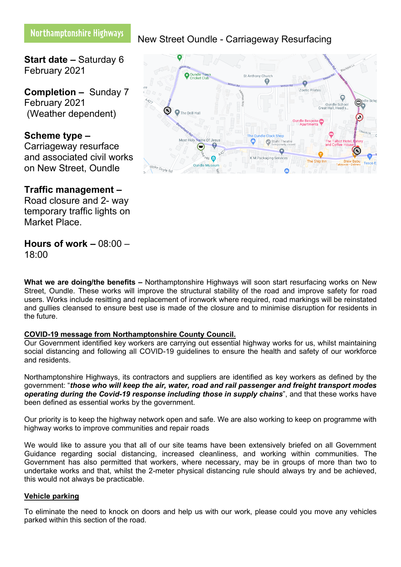# Northamptonshire Highways

**Start date –** Saturday 6 February 2021

**Completion –** Sunday 7 February 2021 (Weather dependent)

# **Scheme type –**

Carriageway resurface and associated civil works on New Street, Oundle

# **Traffic management –**

Road closure and 2- way temporary traffic lights on Market Place.

## **Hours of work –** 08:00 – 18:00

**What we are doing/the benefits –** Northamptonshire Highways will soon start resurfacing works on New Street, Oundle. These works will improve the structural stability of the road and improve safety for road users. Works include resitting and replacement of ironwork where required, road markings will be reinstated and gullies cleansed to ensure best use is made of the closure and to minimise disruption for residents in the future.

### **COVID-19 message from Northamptonshire County Council.**

Our Government identified key workers are carrying out essential highway works for us, whilst maintaining social distancing and following all COVID-19 guidelines to ensure the health and safety of our workforce and residents.

Northamptonshire Highways, its contractors and suppliers are identified as key workers as defined by the government: "*those who will keep the air, water, road and rail passenger and freight transport modes operating during the Covid-19 response including those in supply chains*", and that these works have been defined as essential works by the government.

Our priority is to keep the highway network open and safe. We are also working to keep on programme with highway works to improve communities and repair roads

We would like to assure you that all of our site teams have been extensively briefed on all Government Guidance regarding social distancing, increased cleanliness, and working within communities. The Government has also permitted that workers, where necessary, may be in groups of more than two to undertake works and that, whilst the 2-meter physical distancing rule should always try and be achieved, this would not always be practicable.

### **Vehicle parking**

To eliminate the need to knock on doors and help us with our work, please could you move any vehicles parked within this section of the road.

#### **O** Qundle Tow St Anthony Church 0  $\bullet$ Zoetic Pilates  $\left( \mathbf{r}\right)$ The Drill Hall ndle Clock Shor Most Holy Name Of J  $\bullet$ Stahl The G  $\bullet$ K M Packaging Services The Ship Inn Doyle Pr

New Street Oundle - Carriageway Resurfacing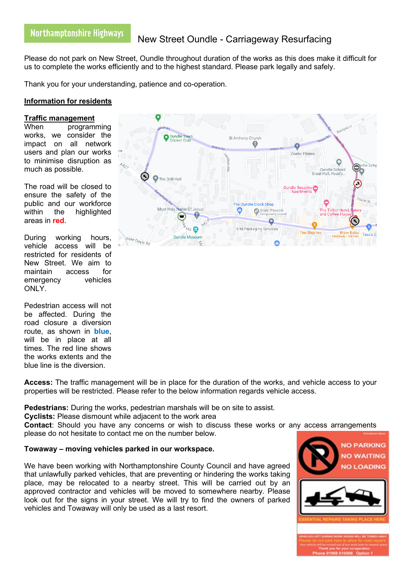# New Street Oundle - Carriageway Resurfacing

Please do not park on New Street, Oundle throughout duration of the works as this does make it difficult for us to complete the works efficiently and to the highest standard. Please park legally and safely.

Thank you for your understanding, patience and co-operation.

### **Information for residents**

#### **Traffic management**

When programming works, we consider the impact on all network users and plan our works to minimise disruption as much as possible.

The road will be closed to ensure the safety of the public and our workforce within the highlighted areas in **red**.

During working hours, vehicle access will be restricted for residents of New Street. We aim to maintain access for emergency vehicles ONLY.

Pedestrian access will not be affected. During the road closure a diversion route, as shown in **blue**, will be in place at all times. The red line shows the works extents and the blue line is the diversion.

**Access:** The traffic management will be in place for the duration of the works, and vehicle access to your properties will be restricted. Please refer to the below information regards vehicle access.

**Pedestrians:** During the works, pedestrian marshals will be on site to assist.

**Cyclists:** Please dismount while adjacent to the work area

**Contact**: Should you have any concerns or wish to discuss these works or any access arrangements please do not hesitate to contact me on the number below.

### **Towaway – moving vehicles parked in our workspace.**

We have been working with Northamptonshire County Council and have agreed that unlawfully parked vehicles, that are preventing or hindering the works taking place, may be relocated to a nearby street. This will be carried out by an approved contractor and vehicles will be moved to somewhere nearby. Please look out for the signs in your street. We will try to find the owners of parked vehicles and Towaway will only be used as a last resort.